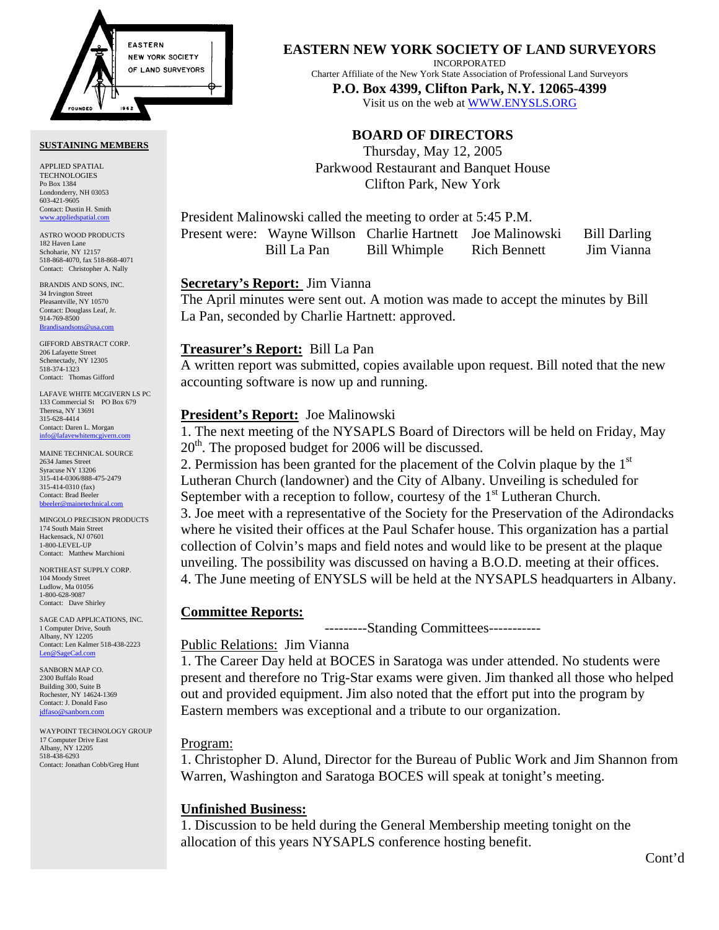

#### **SUSTAINING MEMBERS**

APPLIED SPATIAL TECHNOLOGIES Po Box 1384 Londonderry, NH 03053 603-421-9605 Contact: Dustin H. Smith <www.appliedspatial.com>

ASTRO WOOD PRODUCTS 182 Haven Lane Schoharie, NY 12157 518-868-4070, fax 518-868-4071 Contact: Christopher A. Nally

BRANDIS AND SONS, INC. 34 Irvington Street Pleasantville, NY 10570 Contact: Douglass Leaf, Jr. 914-769-8500 **Brandisan** 

GIFFORD ABSTRACT CORP. 206 Lafayette Street Schenectady, NY 12305 518-374-1323 Contact: Thomas Gifford

LAFAVE WHITE MCGIVERN LS PC 133 Commercial St PO Box 679 Theresa, NY 13691 315-628-4414 Contact: Daren L. Morgan [info@lafavewhitemcgivern.com](mailto:info@lafavewhitemcgivern.com)

MAINE TECHNICAL SOURCE 2634 James Street Syracuse NY 13206 315-414-0306/888-475-2479 315-414-0310 (fax) Contact: Brad Beeler [bbeeler@mainetechnical.com](mailto:bbeeler@mainetechnical.com)

MINGOLO PRECISION PRODUCTS 174 South Main Street Hackensack, NJ 07601 1-800-LEVEL-UP Contact: Matthew Marchioni

NORTHEAST SUPPLY CORP. 104 Moody Street Ludlow, Ma 01056 1-800-628-9087 Contact: Dave Shirley

SAGE CAD APPLICATIONS, INC. 1 Computer Drive, South Albany, NY 12205 Contact: Len Kalmer 518-438-2223 [Len@SageCad.com](mailto:len@sagecad.com)

SANBORN MAP CO. 2300 Buffalo Road Building 300, Suite B Rochester, NY 14624-1369 Contact: J. Donald Faso [jdfaso@sanborn.com](mailto:jdfaso@sanborn.com)

WAYPOINT TECHNOLOGY GROUP 17 Computer Drive East Albany, NY 12205 518-438-6293 Contact: Jonathan Cobb/Greg Hunt

**EASTERN NEW YORK SOCIETY OF LAND SURVEYORS**

INCORPORATED

Charter Affiliate of the New York State Association of Professional Land Surveyors

**P.O. Box 4399, Clifton Park, N.Y. 12065-4399**  Visit us on the web a[t WWW.ENYSLS.ORG](www.enysls.org)

# **BOARD OF DIRECTORS**

Thursday, May 12, 2005 Parkwood Restaurant and Banquet House Clifton Park, New York

President Malinowski called the meeting to order at 5:45 P.M.

|             | Present were: Wayne Willson Charlie Hartnett Joe Malinowski |                     | <b>Bill Darling</b> |
|-------------|-------------------------------------------------------------|---------------------|---------------------|
| Bill La Pan | Bill Whimple                                                | <b>Rich Bennett</b> | Jim Vianna          |

### **Secretary's Report:** Jim Vianna

The April minutes were sent out. A motion was made to accept the minutes by Bill La Pan, seconded by Charlie Hartnett: approved.

### **Treasurer's Report:** Bill La Pan

A written report was submitted, copies available upon request. Bill noted that the new accounting software is now up and running.

## **President's Report:** Joe Malinowski

1. The next meeting of the NYSAPLS Board of Directors will be held on Friday, May  $20<sup>th</sup>$ . The proposed budget for 2006 will be discussed.

2. Permission has been granted for the placement of the Colvin plaque by the  $1<sup>st</sup>$ Lutheran Church (landowner) and the City of Albany. Unveiling is scheduled for September with a reception to follow, courtesy of the  $1<sup>st</sup>$  Lutheran Church. 3. Joe meet with a representative of the Society for the Preservation of the Adirondacks where he visited their offices at the Paul Schafer house. This organization has a partial collection of Colvin's maps and field notes and would like to be present at the plaque unveiling. The possibility was discussed on having a B.O.D. meeting at their offices. 4. The June meeting of ENYSLS will be held at the NYSAPLS headquarters in Albany.

#### **Committee Reports:**

---------Standing Committees-----------

## Public Relations: Jim Vianna

1. The Career Day held at BOCES in Saratoga was under attended. No students were present and therefore no Trig-Star exams were given. Jim thanked all those who helped out and provided equipment. Jim also noted that the effort put into the program by Eastern members was exceptional and a tribute to our organization.

## Program:

1. Christopher D. Alund, Director for the Bureau of Public Work and Jim Shannon from Warren, Washington and Saratoga BOCES will speak at tonight's meeting.

# **Unfinished Business:**

1. Discussion to be held during the General Membership meeting tonight on the allocation of this years NYSAPLS conference hosting benefit.